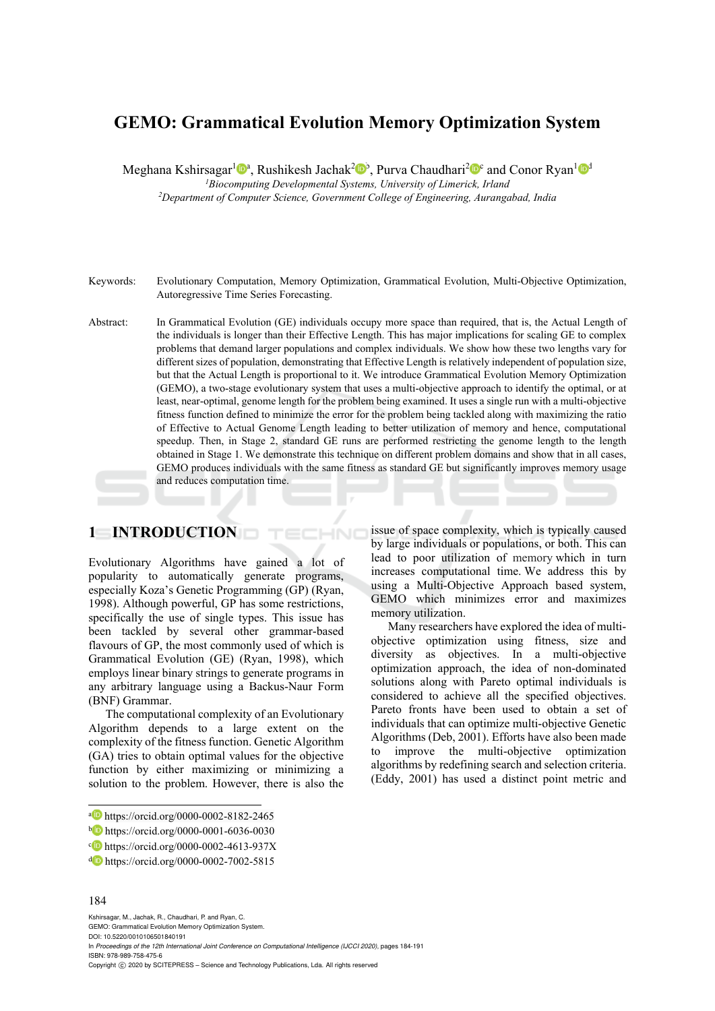# **GEMO: Grammatical Evolution Memory Optimization System**

Meghana Kshirsagar<sup>1</sup> $\mathbb{D}^a$ , Rushikesh Jachak<sup>2</sup> $\mathbb{D}^b$ , Purva Chaudhari<sup>2</sup> $\mathbb{D}^c$  and Conor Ryan<sup>1</sup> $\mathbb{D}^d$ <br><sup>1</sup>Biocomputing Developmental Systems, University of Limerick, Irland

<sup>2</sup>Department of Computer Science, Government College of Engineering, Aurangabad, India

- Keywords: Evolutionary Computation, Memory Optimization, Grammatical Evolution, Multi-Objective Optimization, Autoregressive Time Series Forecasting.
- Abstract: In Grammatical Evolution (GE) individuals occupy more space than required, that is, the Actual Length of the individuals is longer than their Effective Length. This has major implications for scaling GE to complex problems that demand larger populations and complex individuals. We show how these two lengths vary for different sizes of population, demonstrating that Effective Length is relatively independent of population size, but that the Actual Length is proportional to it. We introduce Grammatical Evolution Memory Optimization (GEMO), a two-stage evolutionary system that uses a multi-objective approach to identify the optimal, or at least, near-optimal, genome length for the problem being examined. It uses a single run with a multi-objective fitness function defined to minimize the error for the problem being tackled along with maximizing the ratio of Effective to Actual Genome Length leading to better utilization of memory and hence, computational speedup. Then, in Stage 2, standard GE runs are performed restricting the genome length to the length obtained in Stage 1. We demonstrate this technique on different problem domains and show that in all cases, GEMO produces individuals with the same fitness as standard GE but significantly improves memory usage and reduces computation time.

 $-NC$ 

### **1 INTRODUCTION**

Evolutionary Algorithms have gained a lot of popularity to automatically generate programs, especially Koza's Genetic Programming (GP) (Ryan, 1998). Although powerful, GP has some restrictions, specifically the use of single types. This issue has been tackled by several other grammar-based flavours of GP, the most commonly used of which is Grammatical Evolution (GE) (Ryan, 1998), which employs linear binary strings to generate programs in any arbitrary language using a Backus-Naur Form (BNF) Grammar.

The computational complexity of an Evolutionary Algorithm depends to a large extent on the complexity of the fitness function. Genetic Algorithm (GA) tries to obtain optimal values for the objective function by either maximizing or minimizing a solution to the problem. However, there is also the

#### 184

 $\overline{a}$ 

Kshirsagar, M., Jachak, R., Chaudhari, P. and Ryan, C. GEMO: Grammatical Evolution Memory Optimization System. DOI: 10.5220/0010106501840191 In *Proceedings of the 12th International Joint Conference on Computational Intelligence (IJCCI 2020)*, pages 184-191 ISBN: 978-989-758-475-6 Copyright © 2020 by SCITEPRESS - Science and Technology Publications, Lda. All rights reserved

issue of space complexity, which is typically caused by large individuals or populations, or both. This can lead to poor utilization of memory which in turn increases computational time. We address this by using a Multi-Objective Approach based system, GEMO which minimizes error and maximizes memory utilization.

Many researchers have explored the idea of multiobjective optimization using fitness, size and diversity as objectives. In a multi-objective optimization approach, the idea of non-dominated solutions along with Pareto optimal individuals is considered to achieve all the specified objectives. Pareto fronts have been used to obtain a set of individuals that can optimize multi-objective Genetic Algorithms (Deb, 2001). Efforts have also been made to improve the multi-objective optimization algorithms by redefining search and selection criteria. (Eddy, 2001) has used a distinct point metric and

a https://orcid.org/0000-0002-8182-2465

b https://orcid.org/0000-0001-6036-0030

 $c$  https://orcid.org/0000-0002-4613-937X

d https://orcid.org/0000-0002-7002-5815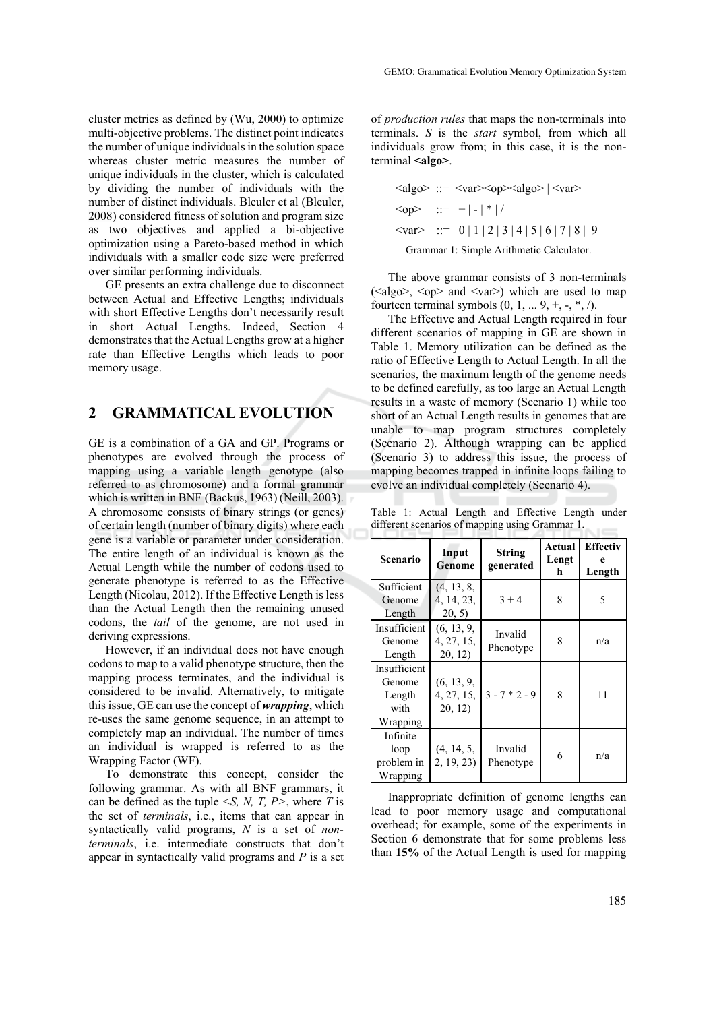cluster metrics as defined by (Wu, 2000) to optimize multi-objective problems. The distinct point indicates the number of unique individuals in the solution space whereas cluster metric measures the number of unique individuals in the cluster, which is calculated by dividing the number of individuals with the number of distinct individuals. Bleuler et al (Bleuler, 2008) considered fitness of solution and program size as two objectives and applied a bi-objective optimization using a Pareto-based method in which individuals with a smaller code size were preferred over similar performing individuals.

GE presents an extra challenge due to disconnect between Actual and Effective Lengths; individuals with short Effective Lengths don't necessarily result in short Actual Lengths. Indeed, Section 4 demonstrates that the Actual Lengths grow at a higher rate than Effective Lengths which leads to poor memory usage.

### **2 GRAMMATICAL EVOLUTION**

GE is a combination of a GA and GP. Programs or phenotypes are evolved through the process of mapping using a variable length genotype (also referred to as chromosome) and a formal grammar which is written in BNF (Backus, 1963) (Neill, 2003). A chromosome consists of binary strings (or genes) of certain length (number of binary digits) where each gene is a variable or parameter under consideration. The entire length of an individual is known as the Actual Length while the number of codons used to generate phenotype is referred to as the Effective Length (Nicolau, 2012). If the Effective Length is less than the Actual Length then the remaining unused codons, the *tail* of the genome, are not used in deriving expressions.

However, if an individual does not have enough codons to map to a valid phenotype structure, then the mapping process terminates, and the individual is considered to be invalid. Alternatively, to mitigate this issue, GE can use the concept of *wrapping*, which re-uses the same genome sequence, in an attempt to completely map an individual. The number of times an individual is wrapped is referred to as the Wrapping Factor (WF).

To demonstrate this concept, consider the following grammar. As with all BNF grammars, it can be defined as the tuple *<S, N, T, P>*, where *T* is the set of *terminals*, i.e., items that can appear in syntactically valid programs, *N* is a set of *nonterminals*, i.e. intermediate constructs that don't appear in syntactically valid programs and *P* is a set

of *production rules* that maps the non-terminals into terminals. *S* is the *start* symbol, from which all individuals grow from; in this case, it is the nonterminal **<algo>**.

$$
\langle 2 \rangle ::= \langle 2 \rangle \langle 2 \rangle = \langle 2 \rangle \langle 2 \rangle
$$
\n
$$
\langle 2 \rangle ::= + |-| * | / \langle 2 \rangle \langle 2 \rangle = 0 | 1 | 2 | 3 | 4 | 5 | 6 | 7 | 8 | 9
$$
\n
$$
\langle 2 \rangle ::= 0 | 1 | 2 | 3 | 4 | 5 | 6 | 7 | 8 | 9
$$
\n
$$
\langle 2 \rangle = 0 \langle 2 \rangle = 0 \langle 2 \rangle = 0 \langle 2 \rangle = 0 \langle 2 \rangle = 0 \langle 2 \rangle = 0 \langle 2 \rangle = 0 \langle 2 \rangle = 0 \langle 2 \rangle = 0 \langle 2 \rangle = 0 \langle 2 \rangle = 0 \langle 2 \rangle = 0 \langle 2 \rangle = 0 \langle 2 \rangle = 0 \langle 2 \rangle = 0 \langle 2 \rangle = 0 \langle 2 \rangle = 0 \langle 2 \rangle = 0 \langle 2 \rangle = 0 \langle 2 \rangle = 0 \langle 2 \rangle = 0 \langle 2 \rangle = 0 \langle 2 \rangle = 0 \langle 2 \rangle = 0 \langle 2 \rangle = 0 \langle 2 \rangle = 0 \langle 2 \rangle = 0 \langle 2 \rangle = 0 \langle 2 \rangle = 0 \langle 2 \rangle = 0 \langle 2 \rangle = 0 \langle 2 \rangle = 0 \langle 2 \rangle = 0 \langle 2 \rangle = 0 \langle 2 \rangle = 0 \langle 2 \rangle = 0 \langle 2 \rangle = 0 \langle 2 \rangle = 0 \langle 2 \rangle = 0 \langle 2 \rangle = 0 \langle 2 \rangle = 0 \langle 2 \rangle = 0 \langle 2 \rangle = 0 \langle 2 \rangle = 0 \langle 2 \rangle = 0 \langle 2 \rangle = 0 \langle 2 \rangle = 0 \langle 2 \rangle = 0 \langle 2 \rangle = 0 \langle 2 \rangle = 0 \langle 2 \rangle = 0 \langle 2 \rangle = 0 \langle 2 \rangle = 0 \langle 2 \rangle = 0 \langle 2 \rangle = 0 \langle 2 \rangle = 0 \langle 2 \rangle = 0 \langle 2 \rangle = 0 \langle 2 \rangle = 0 \langle 2 \rangle = 0 \langle 2 \rangle = 0 \langle 2 \rangle = 0 \langle 2 \rangle = 0 \langle 2 \rangle = 0 \langle 2 \rangle = 0 \langle 2 \rangle = 0 \langle 2 \rangle = 0 \langle 2 \rangle =
$$

The above grammar consists of 3 non-terminals  $(\langle \text{algo}\rangle, \langle \text{op}\rangle)$  and  $(\langle \text{var}\rangle)$  which are used to map fourteen terminal symbols  $(0, 1, ... 9, +, -, *, /).$ 

The Effective and Actual Length required in four different scenarios of mapping in GE are shown in Table 1. Memory utilization can be defined as the ratio of Effective Length to Actual Length. In all the scenarios, the maximum length of the genome needs to be defined carefully, as too large an Actual Length results in a waste of memory (Scenario 1) while too short of an Actual Length results in genomes that are unable to map program structures completely (Scenario 2). Although wrapping can be applied (Scenario 3) to address this issue, the process of mapping becomes trapped in infinite loops failing to evolve an individual completely (Scenario 4).

Table 1: Actual Length and Effective Length under different scenarios of mapping using Grammar 1.

| Scenario                                             | Input<br>Genome                     | String<br>generated  | Actual<br>Lengt<br>h | <b>Effectiv</b><br>е<br>Length |  |
|------------------------------------------------------|-------------------------------------|----------------------|----------------------|--------------------------------|--|
| Sufficient<br>Genome<br>Length                       | (4, 13, 8,<br>4, 14, 23,<br>20, 5)  | $3 + 4$              | 8                    | 5                              |  |
| Insufficient<br>Genome<br>Length                     | (6, 13, 9,<br>4, 27, 15,<br>20, 12) | Invalid<br>Phenotype | 8                    | n/a                            |  |
| Insufficient<br>Genome<br>Length<br>with<br>Wrapping | (6, 13, 9,<br>4, 27, 15,<br>20, 12) | $3 - 7 * 2 - 9$      | 8                    | 11                             |  |
| Infinite<br>loop<br>problem in<br>Wrapping           | (4, 14, 5,<br>2, 19, 23             | Invalid<br>Phenotype | 6                    | n/a                            |  |

Inappropriate definition of genome lengths can lead to poor memory usage and computational overhead; for example, some of the experiments in Section 6 demonstrate that for some problems less than **15%** of the Actual Length is used for mapping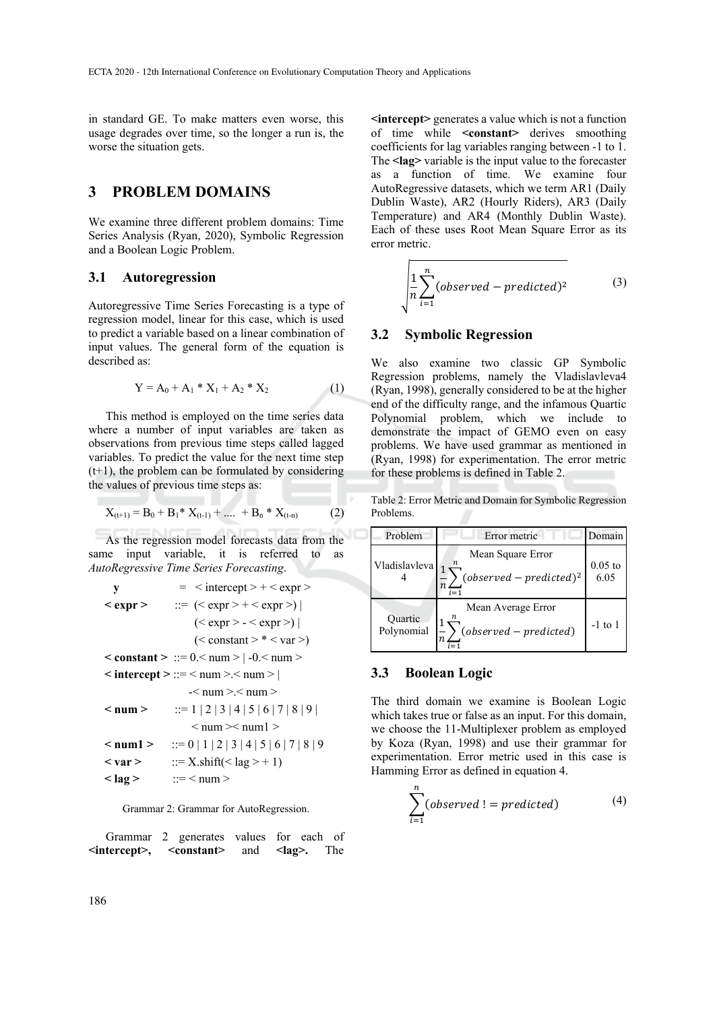in standard GE. To make matters even worse, this usage degrades over time, so the longer a run is, the worse the situation gets.

# **3 PROBLEM DOMAINS**

We examine three different problem domains: Time Series Analysis (Ryan, 2020), Symbolic Regression and a Boolean Logic Problem.

#### **3.1 Autoregression**

 Autoregressive Time Series Forecasting is a type of regression model, linear for this case, which is used to predict a variable based on a linear combination of input values. The general form of the equation is described as:

$$
Y = A_0 + A_1 * X_1 + A_2 * X_2 \tag{1}
$$

This method is employed on the time series data where a number of input variables are taken as observations from previous time steps called lagged variables. To predict the value for the next time step  $(t+1)$ , the problem can be formulated by considering the values of previous time steps as:

$$
X_{(t+1)} = B_0 + B_1^* X_{(t-1)} + \dots + B_n^* X_{(t-n)}
$$
 (2)

As the regression model forecasts data from the same input variable, it is referred to as *AutoRegressive Time Series Forecasting*.

y = 
$$
\left|\frac{1}{2} \cdot \frac{1}{2} \cdot \frac{1}{2} \cdot \frac{1}{2} \cdot \frac{1}{2} \cdot \frac{1}{2} \cdot \frac{1}{2} \cdot \frac{1}{2} \cdot \frac{1}{2} \cdot \frac{1}{2} \cdot \frac{1}{2} \cdot \frac{1}{2} \cdot \frac{1}{2} \cdot \frac{1}{2} \cdot \frac{1}{2} \cdot \frac{1}{2} \cdot \frac{1}{2} \cdot \frac{1}{2} \cdot \frac{1}{2} \cdot \frac{1}{2} \cdot \frac{1}{2} \cdot \frac{1}{2} \cdot \frac{1}{2} \cdot \frac{1}{2} \cdot \frac{1}{2} \cdot \frac{1}{2} \cdot \frac{1}{2} \cdot \frac{1}{2} \cdot \frac{1}{2} \cdot \frac{1}{2} \cdot \frac{1}{2} \cdot \frac{1}{2} \cdot \frac{1}{2} \cdot \frac{1}{2} \cdot \frac{1}{2} \cdot \frac{1}{2} \cdot \frac{1}{2} \cdot \frac{1}{2} \cdot \frac{1}{2} \cdot \frac{1}{2} \cdot \frac{1}{2} \cdot \frac{1}{2} \cdot \frac{1}{2} \cdot \frac{1}{2} \cdot \frac{1}{2} \cdot \frac{1}{2} \cdot \frac{1}{2} \cdot \frac{1}{2} \cdot \frac{1}{2} \cdot \frac{1}{2} \cdot \frac{1}{2} \cdot \frac{1}{2} \cdot \frac{1}{2} \cdot \frac{1}{2} \cdot \frac{1}{2} \cdot \frac{1}{2} \cdot \frac{1}{2} \cdot \frac{1}{2} \cdot \frac{1}{2} \cdot \frac{1}{2} \cdot \frac{1}{2} \cdot \frac{1}{2} \cdot \frac{1}{2} \cdot \frac{1}{2} \cdot \frac{1}{2} \cdot \frac{1}{2} \cdot \frac{1}{2} \cdot \frac{1}{2} \cdot \frac{1}{2} \cdot \frac{1}{2} \cdot \frac{1}{2} \cdot \frac{1}{2} \cdot \frac{1}{2} \cdot \frac{1}{2} \cdot \frac{1}{2} \cdot \frac{1}{2} \cdot \frac{1}{2} \cdot \frac{1}{2} \cdot \frac{1}{2} \cdot \frac{1}{2} \cdot \frac{1}{2} \cdot \frac{1}{2} \cdot \frac{1}{2} \cdot \frac{1}{2} \cdot \frac{
$$

Grammar 2: Grammar for AutoRegression.

Grammar 2 generates values for each of **<intercept>, <constant>** and **<lag>.** The

**<intercept>** generates a value which is not a function of time while **<constant>** derives smoothing coefficients for lag variables ranging between -1 to 1. The **<lag>** variable is the input value to the forecaster as a function of time. We examine four AutoRegressive datasets, which we term AR1 (Daily Dublin Waste), AR2 (Hourly Riders), AR3 (Daily Temperature) and AR4 (Monthly Dublin Waste). Each of these uses Root Mean Square Error as its error metric.

$$
\sqrt{\frac{1}{n} \sum_{i=1}^{n} (observed-predicted)^2}
$$
 (3)

#### **3.2 Symbolic Regression**

 $\mathbf{\hat{}}$ 

We also examine two classic GP Symbolic Regression problems, namely the Vladislavleva4 (Ryan, 1998), generally considered to be at the higher end of the difficulty range, and the infamous Quartic Polynomial problem, which we include to demonstrate the impact of GEMO even on easy problems. We have used grammar as mentioned in (Ryan, 1998) for experimentation. The error metric for these problems is defined in Table 2.

Table 2: Error Metric and Domain for Symbolic Regression Problems.

| Problem               | Error metric                                           | Domain    |
|-----------------------|--------------------------------------------------------|-----------|
| Vladislavleva         | Mean Square Error<br>$(observed-predicted)^2$<br>$i=1$ | $0.05$ to |
| Quartic<br>Polynomial | Mean Average Error<br>$(observed-predicted)$           | $-1$ to 1 |

#### **3.3 Boolean Logic**

The third domain we examine is Boolean Logic which takes true or false as an input. For this domain, we choose the 11-Multiplexer problem as employed by Koza (Ryan, 1998) and use their grammar for experimentation. Error metric used in this case is Hamming Error as defined in equation 4.

$$
\sum_{i=1}^{n} (observed != predicted)
$$
 (4)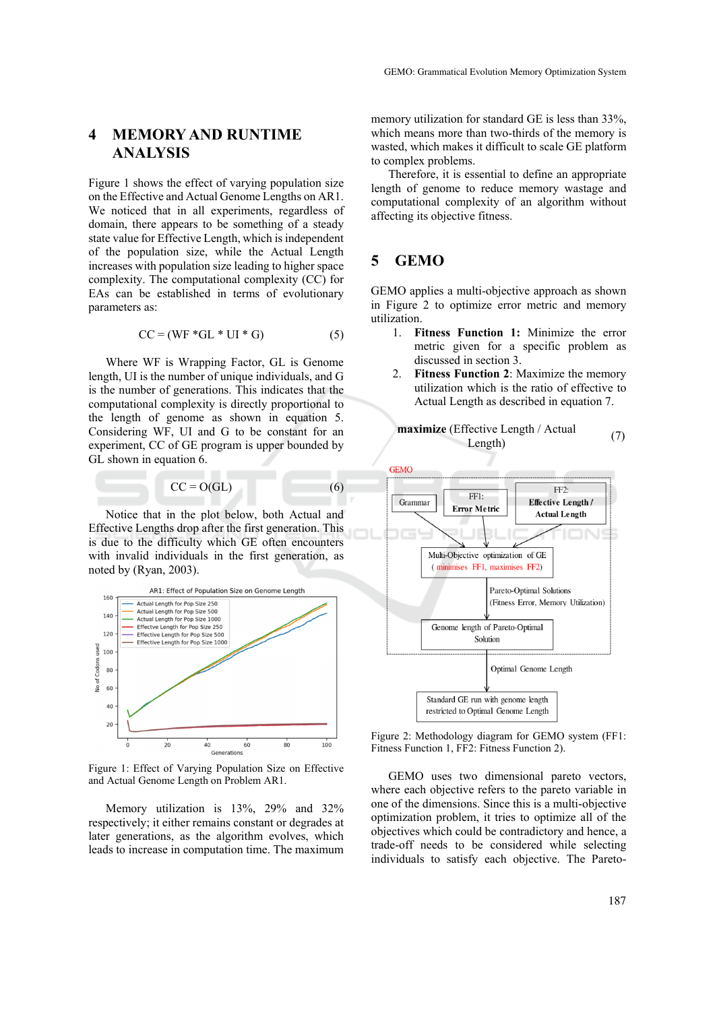# **4 MEMORY AND RUNTIME ANALYSIS**

Figure 1 shows the effect of varying population size on the Effective and Actual Genome Lengths on AR1. We noticed that in all experiments, regardless of domain, there appears to be something of a steady state value for Effective Length, which is independent of the population size, while the Actual Length increases with population size leading to higher space complexity. The computational complexity (CC) for EAs can be established in terms of evolutionary parameters as:

$$
CC = (WF * GL * UI * G)
$$
 (5)

Where WF is Wrapping Factor, GL is Genome length, UI is the number of unique individuals, and G is the number of generations. This indicates that the computational complexity is directly proportional to the length of genome as shown in equation 5. Considering WF, UI and G to be constant for an experiment, CC of GE program is upper bounded by GL shown in equation 6.

$$
CC = O(GL) \tag{6}
$$

Notice that in the plot below, both Actual and Effective Lengths drop after the first generation. This is due to the difficulty which GE often encounters with invalid individuals in the first generation, as noted by (Ryan, 2003).



Figure 1: Effect of Varying Population Size on Effective and Actual Genome Length on Problem AR1.

Memory utilization is 13%, 29% and 32% respectively; it either remains constant or degrades at later generations, as the algorithm evolves, which leads to increase in computation time. The maximum memory utilization for standard GE is less than 33%, which means more than two-thirds of the memory is wasted, which makes it difficult to scale GE platform to complex problems.

Therefore, it is essential to define an appropriate length of genome to reduce memory wastage and computational complexity of an algorithm without affecting its objective fitness.

### **5 GEMO**

GEMO applies a multi-objective approach as shown in Figure 2 to optimize error metric and memory utilization.

- 1. **Fitness Function 1:** Minimize the error metric given for a specific problem as discussed in section 3.
- 2. **Fitness Function 2**: Maximize the memory utilization which is the ratio of effective to Actual Length as described in equation 7.

**maximize** (Effective Length / Actual



Figure 2: Methodology diagram for GEMO system (FF1: Fitness Function 1, FF2: Fitness Function 2).

GEMO uses two dimensional pareto vectors, where each objective refers to the pareto variable in one of the dimensions. Since this is a multi-objective optimization problem, it tries to optimize all of the objectives which could be contradictory and hence, a trade-off needs to be considered while selecting individuals to satisfy each objective. The Pareto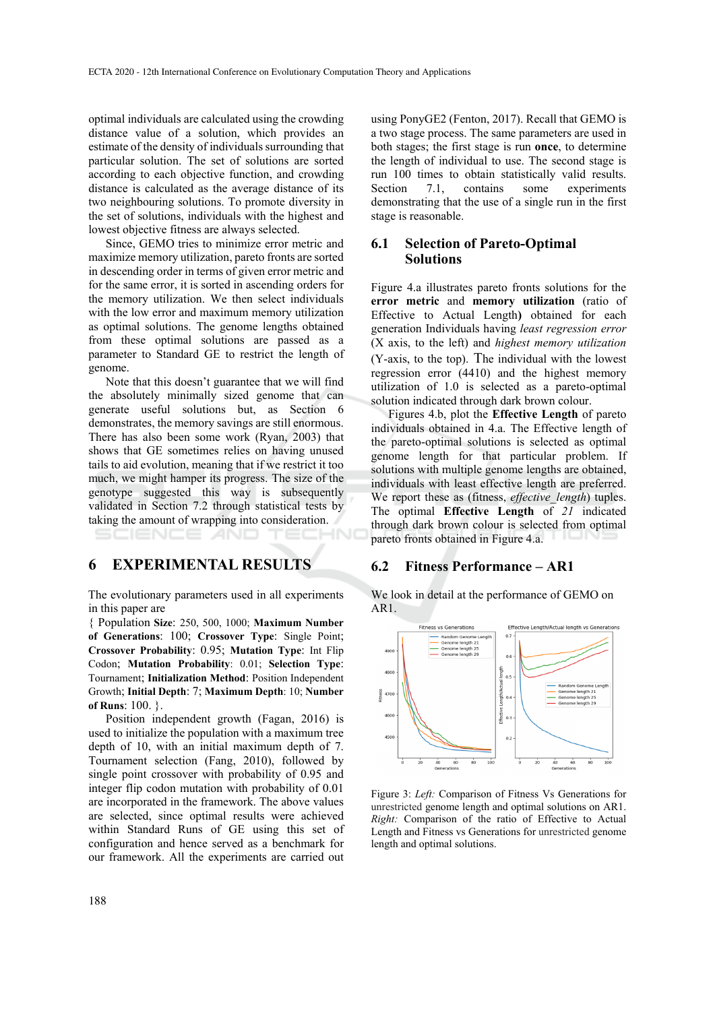optimal individuals are calculated using the crowding distance value of a solution, which provides an estimate of the density of individuals surrounding that particular solution. The set of solutions are sorted according to each objective function, and crowding distance is calculated as the average distance of its two neighbouring solutions. To promote diversity in the set of solutions, individuals with the highest and lowest objective fitness are always selected.

Since, GEMO tries to minimize error metric and maximize memory utilization, pareto fronts are sorted in descending order in terms of given error metric and for the same error, it is sorted in ascending orders for the memory utilization. We then select individuals with the low error and maximum memory utilization as optimal solutions. The genome lengths obtained from these optimal solutions are passed as a parameter to Standard GE to restrict the length of genome.

Note that this doesn't guarantee that we will find the absolutely minimally sized genome that can generate useful solutions but, as Section 6 demonstrates, the memory savings are still enormous. There has also been some work (Ryan, 2003) that shows that GE sometimes relies on having unused tails to aid evolution, meaning that if we restrict it too much, we might hamper its progress. The size of the genotype suggested this way is subsequently validated in Section 7.2 through statistical tests by taking the amount of wrapping into consideration.

### **6 EXPERIMENTAL RESULTS**

The evolutionary parameters used in all experiments in this paper are

НN

{ Population **Size**: 250, 500, 1000; **Maximum Number of Generations**: 100; **Crossover Type**: Single Point; **Crossover Probability**: 0.95; **Mutation Type**: Int Flip Codon; **Mutation Probability**: 0.01; **Selection Type**: Tournament; **Initialization Method**: Position Independent Growth; **Initial Depth**: 7; **Maximum Depth**: 10; **Number of Runs**: 100. }.

Position independent growth (Fagan, 2016) is used to initialize the population with a maximum tree depth of 10, with an initial maximum depth of 7. Tournament selection (Fang, 2010), followed by single point crossover with probability of 0.95 and integer flip codon mutation with probability of 0.01 are incorporated in the framework. The above values are selected, since optimal results were achieved within Standard Runs of GE using this set of configuration and hence served as a benchmark for our framework. All the experiments are carried out

using PonyGE2 (Fenton, 2017). Recall that GEMO is a two stage process. The same parameters are used in both stages; the first stage is run **once**, to determine the length of individual to use. The second stage is run 100 times to obtain statistically valid results. Section 7.1, contains some experiments demonstrating that the use of a single run in the first stage is reasonable.

### **6.1 Selection of Pareto-Optimal Solutions**

Figure 4.a illustrates pareto fronts solutions for the **error metric** and **memory utilization** (ratio of Effective to Actual Length**)** obtained for each generation Individuals having *least regression error* (X axis, to the left) and *highest memory utilization* (Y-axis, to the top). The individual with the lowest regression error (4410) and the highest memory utilization of 1.0 is selected as a pareto-optimal solution indicated through dark brown colour.

Figures 4.b, plot the **Effective Length** of pareto individuals obtained in 4.a. The Effective length of the pareto-optimal solutions is selected as optimal genome length for that particular problem. If solutions with multiple genome lengths are obtained, individuals with least effective length are preferred. We report these as (fitness, *effective length*) tuples. The optimal **Effective Length** of *21* indicated through dark brown colour is selected from optimal pareto fronts obtained in Figure 4.a.

#### **6.2 Fitness Performance – AR1**

We look in detail at the performance of GEMO on AR1.



Figure 3: *Left:* Comparison of Fitness Vs Generations for unrestricted genome length and optimal solutions on AR1. *Right:* Comparison of the ratio of Effective to Actual Length and Fitness vs Generations for unrestricted genome length and optimal solutions.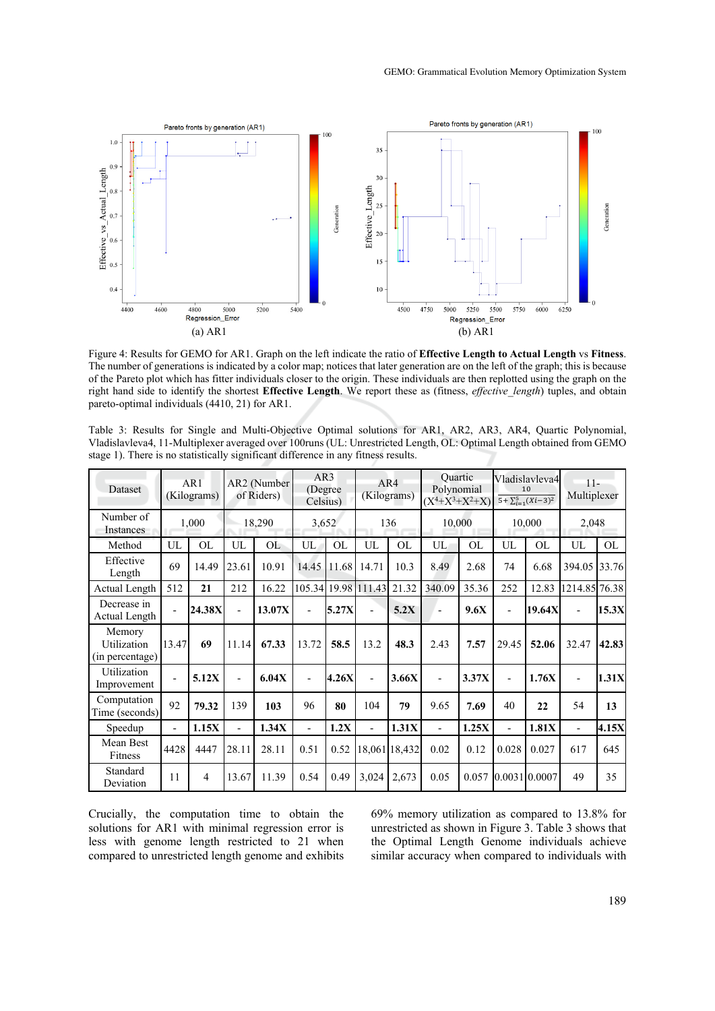

Figure 4: Results for GEMO for AR1. Graph on the left indicate the ratio of **Effective Length to Actual Length** vs **Fitness**. The number of generations is indicated by a color map; notices that later generation are on the left of the graph; this is because of the Pareto plot which has fitter individuals closer to the origin. These individuals are then replotted using the graph on the right hand side to identify the shortest **Effective Length**. We report these as (fitness, *effective\_length*) tuples, and obtain pareto-optimal individuals (4410, 21) for AR1.

Table 3: Results for Single and Multi-Objective Optimal solutions for AR1, AR2, AR3, AR4, Quartic Polynomial, Vladislavleva4, 11-Multiplexer averaged over 100runs (UL: Unrestricted Length, OL: Optimal Length obtained from GEMO stage 1). There is no statistically significant difference in any fitness results.

| <b>Dataset</b>                           |                | AR1<br>(Kilograms) |                          | AR2 (Number<br>of Riders) | AR3<br>(Degree)<br>Celsius) |           |                          | AR4<br>(Kilograms) | <b>Quartic</b><br>Polynomial<br>$(X^4+X^3+X^2+X)$ |       |                          | Vladislavleva4<br>10<br>$5 + \sum_{i=1}^{5} (Xi - 3)^2$ | $11 -$<br>Multiplexer    |           |
|------------------------------------------|----------------|--------------------|--------------------------|---------------------------|-----------------------------|-----------|--------------------------|--------------------|---------------------------------------------------|-------|--------------------------|---------------------------------------------------------|--------------------------|-----------|
| Number of<br><b>Instances</b>            |                | 1,000              |                          | 18,290                    | 3,652                       |           |                          | 136                | 10,000                                            |       |                          | 10,000                                                  | 2,048                    |           |
| Method                                   | UL             | OL                 | UL                       | OL                        | UL                          | <b>OL</b> | UL                       | OL                 | UL                                                | OL    | UL                       | <b>OL</b>                                               | UL                       | <b>OL</b> |
| Effective<br>Length                      | 69             | 14.49              | 23.61                    | 10.91                     | 14.45                       | 11.68     | 14.71                    | 10.3               | 8.49                                              | 2.68  | 74                       | 6.68                                                    | 394.05                   | 33.76     |
| Actual Length                            | 512            | 21                 | 212                      | 16.22                     |                             |           | 105.34 19.98 111.43      | 21.32              | 340.09                                            | 35.36 | 252                      | 12.83                                                   | 1214.85 76.38            |           |
| Decrease in<br>Actual Length             |                | 24.38X             | $\blacksquare$           | 13.07X                    | $\blacksquare$              | 5.27X     | $\overline{\phantom{0}}$ | 5.2X               | $\blacksquare$                                    | 9.6X  | $\overline{\phantom{m}}$ | 19.64X                                                  | $\overline{\phantom{a}}$ | 15.3X     |
| Memory<br>Utilization<br>(in percentage) | 13.47          | 69                 | 11.14                    | 67.33                     | 13.72                       | 58.5      | 13.2                     | 48.3               | 2.43                                              | 7.57  | 29.45                    | 52.06                                                   | 32.47                    | 42.83     |
| Utilization<br>Improvement               |                | 5.12X              | $\blacksquare$           | 6.04X                     | $\overline{a}$              | 4.26X     |                          | 3.66X              |                                                   | 3.37X | $\overline{\phantom{m}}$ | 1.76X                                                   | $\overline{\phantom{0}}$ | 1.31X     |
| Computation<br>Time (seconds)            | 92             | 79.32              | 139                      | 103                       | 96                          | 80        | 104                      | 79                 | 9.65                                              | 7.69  | 40                       | 22                                                      | 54                       | 13        |
| Speedup                                  | $\blacksquare$ | 1.15X              | $\overline{\phantom{0}}$ | 1.34X                     | $\blacksquare$              | 1.2X      | $\overline{\phantom{0}}$ | 1.31X              |                                                   | 1.25X | $\overline{\phantom{0}}$ | 1.81X                                                   | $\overline{\phantom{a}}$ | 4.15X     |
| Mean Best<br>Fitness                     | 4428           | 4447               | 28.11                    | 28.11                     | 0.51                        | 0.52      |                          | 18,061 18,432      | 0.02                                              | 0.12  | 0.028                    | 0.027                                                   | 617                      | 645       |
| Standard<br>Deviation                    | 11             | $\overline{4}$     | 13.67                    | 11.39                     | 0.54                        | 0.49      | 3,024                    | 2,673              | 0.05                                              | 0.057 |                          | 0.0031 0.0007                                           | 49                       | 35        |

Crucially, the computation time to obtain the solutions for AR1 with minimal regression error is less with genome length restricted to 21 when compared to unrestricted length genome and exhibits

69% memory utilization as compared to 13.8% for unrestricted as shown in Figure 3. Table 3 shows that the Optimal Length Genome individuals achieve similar accuracy when compared to individuals with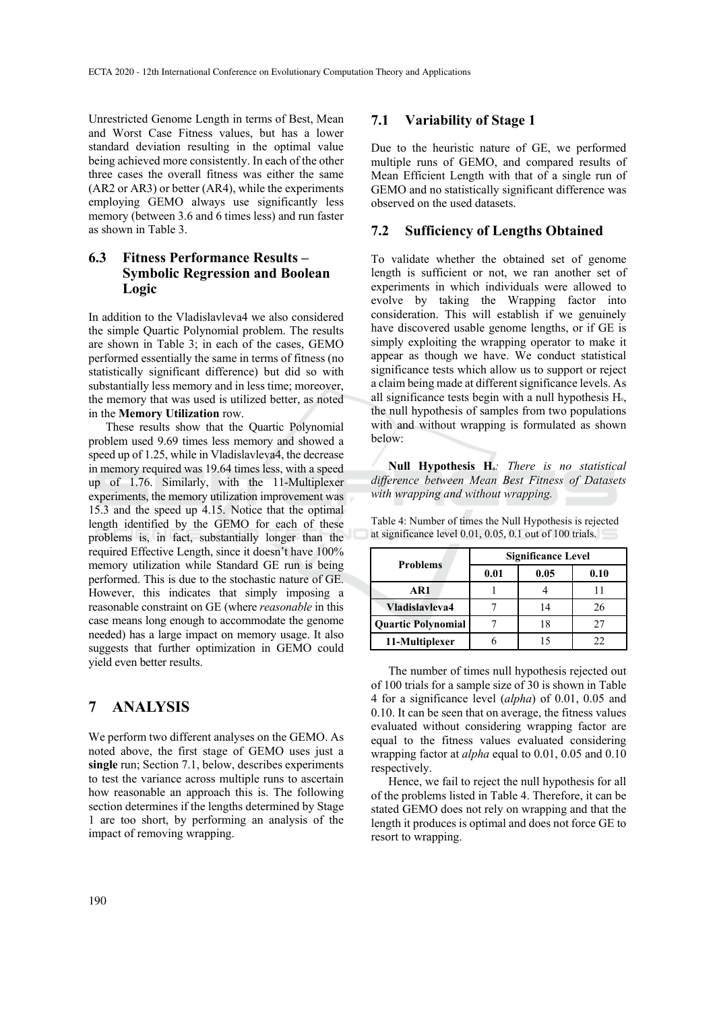Unrestricted Genome Length in terms of Best, Mean and Worst Case Fitness values, but has a lower standard deviation resulting in the optimal value being achieved more consistently. In each of the other three cases the overall fitness was either the same (AR2 or AR3) or better (AR4), while the experiments employing GEMO always use significantly less memory (between 3.6 and 6 times less) and run faster as shown in Table 3.

### **6.3 Fitness Performance Results – Symbolic Regression and Boolean Logic**

In addition to the Vladislavleva4 we also considered the simple Quartic Polynomial problem. The results are shown in Table 3; in each of the cases, GEMO performed essentially the same in terms of fitness (no statistically significant difference) but did so with substantially less memory and in less time; moreover, the memory that was used is utilized better, as noted in the **Memory Utilization** row.

These results show that the Quartic Polynomial problem used 9.69 times less memory and showed a speed up of 1.25, while in Vladislavleva4, the decrease in memory required was 19.64 times less, with a speed up of 1.76. Similarly, with the 11-Multiplexer experiments, the memory utilization improvement was 15.3 and the speed up 4.15. Notice that the optimal length identified by the GEMO for each of these problems is, in fact, substantially longer than the required Effective Length, since it doesn't have 100% memory utilization while Standard GE run is being performed. This is due to the stochastic nature of GE. However, this indicates that simply imposing a reasonable constraint on GE (where *reasonable* in this case means long enough to accommodate the genome needed) has a large impact on memory usage. It also suggests that further optimization in GEMO could yield even better results.

# **7 ANALYSIS**

We perform two different analyses on the GEMO. As noted above, the first stage of GEMO uses just a **single** run; Section 7.1, below, describes experiments to test the variance across multiple runs to ascertain how reasonable an approach this is. The following section determines if the lengths determined by Stage 1 are too short, by performing an analysis of the impact of removing wrapping.

#### **7.1 Variability of Stage 1**

Due to the heuristic nature of GE, we performed multiple runs of GEMO, and compared results of Mean Efficient Length with that of a single run of GEMO and no statistically significant difference was observed on the used datasets.

#### **7.2 Sufficiency of Lengths Obtained**

To validate whether the obtained set of genome length is sufficient or not, we ran another set of experiments in which individuals were allowed to evolve by taking the Wrapping factor into consideration. This will establish if we genuinely have discovered usable genome lengths, or if GE is simply exploiting the wrapping operator to make it appear as though we have. We conduct statistical significance tests which allow us to support or reject a claim being made at different significance levels. As all significance tests begin with a null hypothesis  $H_0$ , the null hypothesis of samples from two populations with and without wrapping is formulated as shown below:

Null Hypothesis H<sub>0</sub>*: There is no statistical difference between Mean Best Fitness of Datasets with wrapping and without wrapping.* 

| <b>Problems</b>           | <b>Significance Level</b> |      |      |  |  |  |
|---------------------------|---------------------------|------|------|--|--|--|
|                           | 0.01                      | 0.05 | 0.10 |  |  |  |
| AR1                       |                           |      |      |  |  |  |
| Vladislavleva4            |                           | 14   | 26   |  |  |  |
| <b>Quartic Polynomial</b> |                           | 18   | 27   |  |  |  |
| 11-Multiplexer            |                           |      |      |  |  |  |

Table 4: Number of times the Null Hypothesis is rejected at significance level 0.01, 0.05, 0.1 out of 100 trials.

The number of times null hypothesis rejected out of 100 trials for a sample size of 30 is shown in Table 4 for a significance level (*alpha*) of 0.01, 0.05 and 0.10. It can be seen that on average, the fitness values evaluated without considering wrapping factor are equal to the fitness values evaluated considering wrapping factor at *alpha* equal to 0.01, 0.05 and 0.10 respectively.

Hence, we fail to reject the null hypothesis for all of the problems listed in Table 4. Therefore, it can be stated GEMO does not rely on wrapping and that the length it produces is optimal and does not force GE to resort to wrapping.